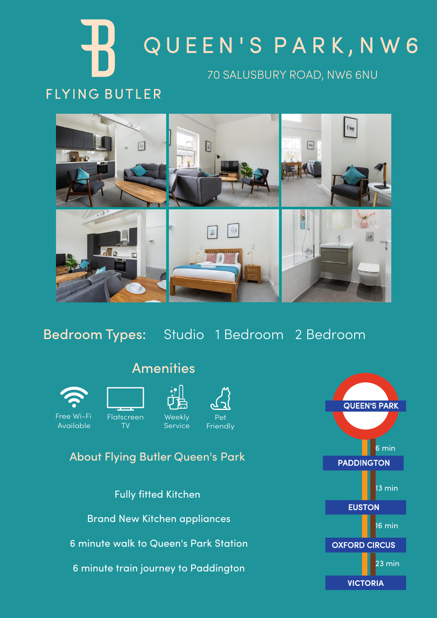# 70 SALUSBURY ROAD, NW6 6NU Q U E E N ' S P A R K , N W 6

# **FLYING BUTLER**



Bedroom Types: Studio 1 Bedroom 2 Bedroom



Free Wi-Fi Available



TV





#### About Flying Butler Queen's Park

Fully fitted Kitchen Brand New Kitchen appliances 6 minute walk to Queen's Park Station 6 minute train journey to Paddington



# Amenities